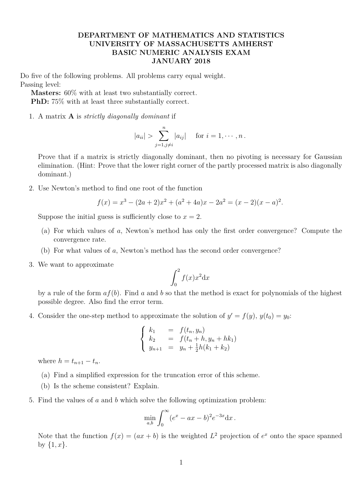## **DEPARTMENT OF MATHEMATICS AND STATISTICS UNIVERSITY OF MASSACHUSETTS AMHERST BASIC NUMERIC ANALYSIS EXAM JANUARY 2018**

Do five of the following problems. All problems carry equal weight. Passing level:

**Masters:** 60% with at least two substantially correct. **PhD:** 75% with at least three substantially correct.

1. A matrix **A** is *strictly diagonally dominant* if

$$
|a_{ii}| > \sum_{j=1, j\neq i}^{n} |a_{ij}|
$$
 for  $i = 1, \dots, n$ .

Prove that if a matrix is strictly diagonally dominant, then no pivoting is necessary for Gaussian elimination. (Hint: Prove that the lower right corner of the partly processed matrix is also diagonally dominant.)

2. Use Newton's method to find one root of the function

$$
f(x) = x3 - (2a + 2)x2 + (a2 + 4a)x - 2a2 = (x - 2)(x - a)2.
$$

Suppose the initial guess is sufficiently close to  $x = 2$ .

- (a) For which values of *a*, Newton's method has only the first order convergence? Compute the convergence rate.
- (b) For what values of *a*, Newton's method has the second order convergence?
- 3. We want to approximate

$$
\int_0^2 f(x)x^2 \mathrm{d}x
$$

by a rule of the form *af*(*b*). Find *a* and *b* so that the method is exact for polynomials of the highest possible degree. Also find the error term.

4. Consider the one-step method to approximate the solution of  $y' = f(y)$ ,  $y(t_0) = y_0$ :

$$
\begin{cases}\nk_1 = f(t_n, y_n) \\
k_2 = f(t_n + h, y_n + hk_1) \\
y_{n+1} = y_n + \frac{1}{2}h(k_1 + k_2)\n\end{cases}
$$

where  $h = t_{n+1} - t_n$ .

- (a) Find a simplified expression for the truncation error of this scheme.
- (b) Is the scheme consistent? Explain.
- 5. Find the values of *a* and *b* which solve the following optimization problem:

$$
\min_{a,b} \int_0^\infty (e^x - ax - b)^2 e^{-3x} dx.
$$

Note that the function  $f(x) = (ax + b)$  is the weighted  $L^2$  projection of  $e^x$  onto the space spanned by *{*1*, x}*.